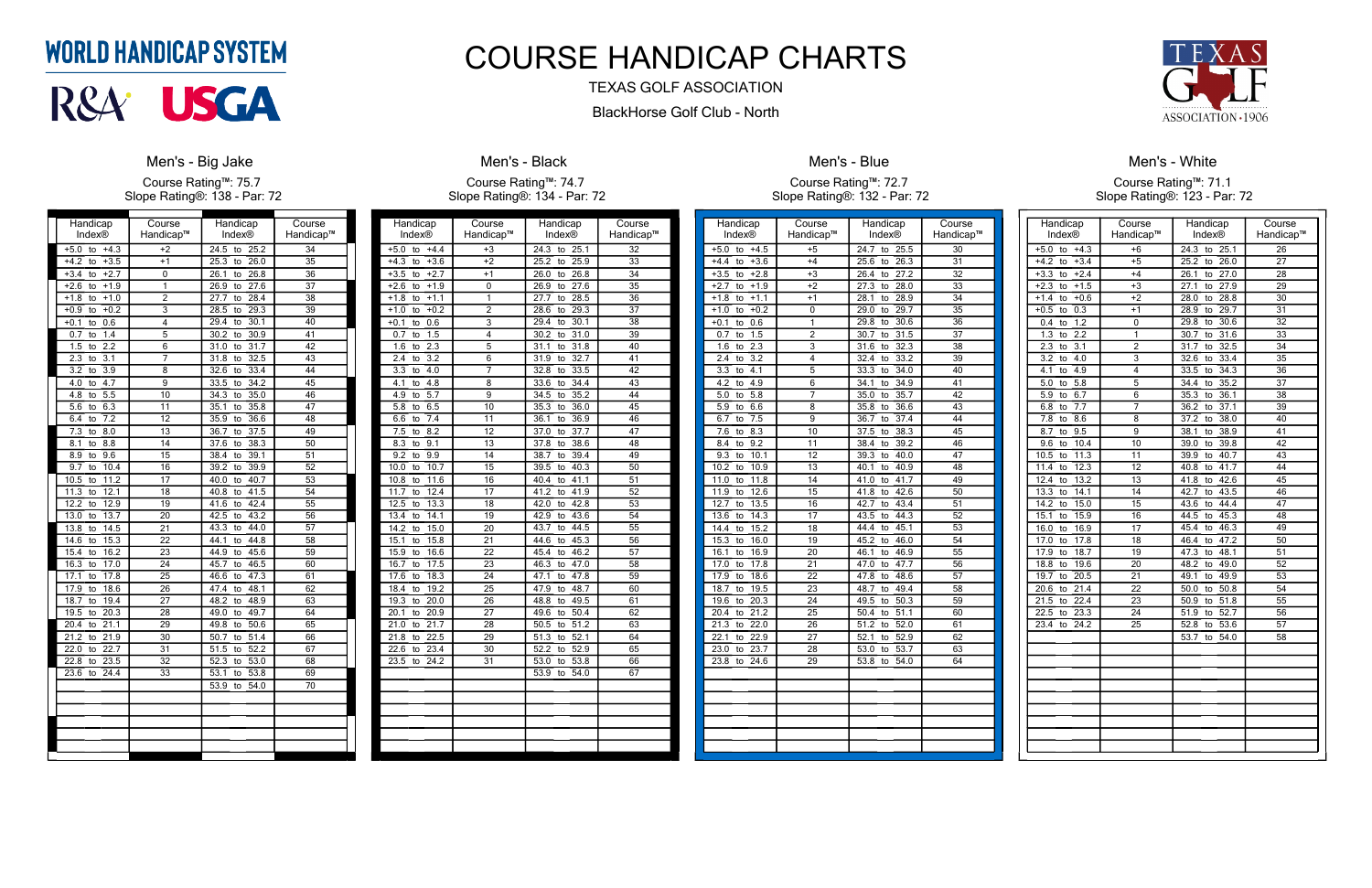| Handicap<br><b>Index®</b>     | Course<br>Handicap™ | Handicap<br>Index® | Course<br>Handicap™ |
|-------------------------------|---------------------|--------------------|---------------------|
| $+4.3$<br>$+5.0$<br>to        | $+2$                | 24.5<br>25.2<br>to | $\overline{34}$     |
| $+4.2$<br>$+3.5$<br>to        | $+1$                | 26.0<br>25.3<br>to | $\overline{35}$     |
| $+3.4$<br>$+2.7$<br>to        | 0                   | 26.1<br>26.8<br>to | 36                  |
| $+2.6$<br>$+1.9$<br>to        | $\overline{1}$      | 27.6<br>26.9<br>to | $\overline{37}$     |
| $+1.8$<br>$+1.0$              | $\overline{2}$      | 28.4<br>27.7       | 38                  |
| to                            |                     | to                 |                     |
| $+0.9$<br>$+0.2$<br>to        | $\overline{3}$      | 28.5<br>29.3<br>to | 39                  |
| 0.6<br>$+0.1$<br>to           | 4                   | 30.1<br>29.4<br>to | 40                  |
| 0.7<br>1.4<br>to              | $\overline{5}$      | 30.2<br>30.9<br>to | 41                  |
| 2.2<br>1.5<br>to              | 6                   | 31.7<br>31.0<br>to | $\overline{42}$     |
| $\overline{3.1}$<br>2.3<br>to | 7                   | 32.5<br>31.8<br>to | $\overline{43}$     |
| $\overline{3.2}$<br>3.9<br>to | 8                   | 33.4<br>32.6<br>to | 44                  |
| 4.7<br>4.0<br>to              | 9                   | 33.5<br>34.2<br>to | 45                  |
| 5.5<br>4.8<br>to              | 10                  | 35.0<br>34.3<br>to | 46                  |
| 6.3<br>5.6<br>to              | 11                  | 35.1<br>35.8<br>to | 47                  |
| $\overline{7.2}$<br>6.4<br>to | $\overline{12}$     | 35.9<br>36.6<br>to | 48                  |
| $\overline{7.3}$<br>8.0<br>to | 13                  | 37.5<br>36.7<br>to | 49                  |
| 8.8<br>8.1<br>to              | 14                  | 38.3<br>37.6<br>to | 50                  |
| 8.9<br>9.6<br>to              | 15                  | 39.1<br>38.4<br>to | 51                  |
| 10.4<br>9.7<br>to             | $\overline{16}$     | 39.2<br>39.9<br>to | $\overline{52}$     |
| 11.2<br>10.5<br>to            | 17                  | 40.7<br>40.0<br>to | $\overline{53}$     |
| 12.1<br>11.3<br>to            | 18                  | 41.5<br>40.8<br>to | 54                  |
| 12.9<br>12.2<br>to            | 19                  | 42.4<br>41.6<br>to | $\overline{55}$     |
| 13.7<br>13.0<br>to            | 20                  | 42.5<br>43.2<br>to | 56                  |
| 13.8<br>14.5<br>to            | 21                  | 43.3<br>44.0<br>to | 57                  |
| 14.6<br>15.3<br>to            | $\overline{22}$     | 44.8<br>44.1<br>to | $\overline{58}$     |
| 16.2<br>15.4<br>to            | 23                  | 45.6<br>44.9<br>to | 59                  |
| 16.3<br>17.0<br>to            | 24                  | 45.7<br>46.5<br>to | 60                  |
| 17.1<br>17.8<br>to            | $\overline{25}$     | 46.6<br>47.3<br>to | 61                  |
| 18.6<br>17.9<br>to            | 26                  | 48.1<br>47.4<br>to | 62                  |
| 18.7<br>19.4<br>to            | 27                  | 48.2<br>48.9<br>to | 63                  |
| 19.5<br>20.3<br>to            | 28                  | 49.0<br>49.7<br>to | 64                  |
| 21.1<br>20.4<br>to            | 29                  | 50.6<br>49.8<br>to | 65                  |
| 21.2<br>21.9<br>to            | 30                  | 51.4<br>50.7<br>to | 66                  |
| 22.0<br>22.7<br>to            | 31                  | 52.2<br>51.5<br>to | 67                  |
| 22.8<br>23.5<br>to            | 32                  | 52.3<br>53.0<br>to | 68                  |
| 23.6<br>24.4<br>to            | 33                  | 53.8<br>53.1<br>to | 69                  |
|                               |                     | 53.9<br>54.0<br>to | 70                  |
|                               |                     |                    |                     |
|                               |                     |                    |                     |
|                               |                     |                    |                     |
|                               |                     |                    |                     |
|                               |                     |                    |                     |
|                               |                     |                    |                     |

#### **Men's - Big Jake**

Course Rating™: 75.7 Slope Rating®: 138 - Par: 72

| Handicap                      | Course                  | Handicap           | Course          |
|-------------------------------|-------------------------|--------------------|-----------------|
| Index®                        | Handicap™               | Index®             | Handicap™       |
| $+5.0$<br>to<br>$+4.4$        | $+3$                    | 24.3<br>to<br>25.1 | 32              |
| $+4.3$<br>$+3.6$<br>to        | $+2$                    | 25.9<br>25.2<br>to | 33              |
| $+3.5$<br>$+2.7$<br>to        | $+1$                    | 26.0<br>26.8<br>to | 34              |
| $+2.6$<br>$+1.9$<br>to        | 0                       | 27.6<br>26.9<br>to | 35              |
| $+1.8$<br>$-1.1$<br>to        | 1                       | 27.7<br>28.5<br>to | 36              |
| $+1.0$<br>$+0.2$<br>to        | $\overline{2}$          | 28.6<br>29.3<br>to | 37              |
| 0.6<br>$+0.1$<br>to           | $\overline{3}$          | 29.4<br>30.1<br>to | $\overline{38}$ |
| 1.5<br>0.7<br>to              | $\overline{\mathbf{4}}$ | 30.2<br>31.0<br>to | 39              |
| 1.6<br>2.3<br>to              | 5                       | 31.8<br>31.1<br>to | 40              |
| 3.2<br>2.4<br>to              | 6                       | 31.9<br>32.7<br>to | 41              |
| 3.3<br>4.0<br>to              | 7                       | 32.8<br>33.5<br>to | 42              |
| 4.1<br>4.8<br>to              | 8                       | 33.6<br>34.4<br>to | 43              |
| 4.9<br>5.7<br>to              | 9                       | 34.5<br>35.2<br>to | 44              |
| 6.5<br>5.8<br>to              | 10                      | 35.3<br>36.0<br>to | 45              |
| 6.6<br>7.4<br>to              | 11                      | 36.1<br>36.9<br>to | 46              |
| $\overline{7.5}$<br>8.2<br>to | $\overline{12}$         | 37.7<br>37.0<br>to | 47              |
| 8.3<br>9.1<br>to              | 13                      | 38.6<br>37.8<br>to | 48              |
| 9.2<br>9.9<br>to              | 14                      | 38.7<br>39.4<br>to | 49              |
| 10.7<br>10.0<br>to            | $\overline{15}$         | 39.5<br>40.3<br>to | 50              |
| 11.6<br>10.8<br>to            | 16                      | 41.1<br>40.4<br>to | 51              |
| 12.4<br>11.7<br>to            | 17                      | 41.9<br>41.2<br>to | $\overline{52}$ |
| 12.5<br>13.3<br>to            | 18                      | 42.0<br>42.8<br>to | 53              |
| 13.4<br>14.1<br>to            | 19                      | 43.6<br>42.9<br>to | 54              |
| 14.2<br>15.0<br>to            | 20                      | 43.7<br>44.5<br>to | 55              |
| 15.8<br>15.1<br>to            | 21                      | 45.3<br>44.6<br>to | 56              |
| 16.6<br>15.9<br>to            | 22                      | 46.2<br>45.4<br>to | 57              |
| 16.7<br>17.5<br>to            | 23                      | 46.3<br>47.0<br>to | $\overline{58}$ |
| 18.3<br>17.6<br>to            | 24                      | 47.1<br>47.8<br>to | 59              |
| 18.4<br>19.2<br>to            | 25                      | 47.9<br>48.7<br>to | 60              |
| 19.3<br>20.0<br>to            | $\overline{26}$         | 48.8<br>49.5<br>to | 61              |
| 20.9<br>20.1<br>to            | 27                      | 50.4<br>49.6<br>to | 62              |
| 21.7<br>21.0<br>to            | 28                      | 50.5<br>51.2<br>to | 63              |
| 22.5<br>21.8<br>to            | 29                      | 51.3<br>52.1<br>to | 64              |
| 22.6<br>23.4<br>to            | 30                      | 52.9<br>52.2<br>to | 65              |
| 23.5<br>24.2<br>to            | 31                      | 53.0<br>53.8<br>to | 66              |
|                               |                         | 53.9<br>54.0<br>to | 67              |
|                               |                         |                    |                 |
|                               |                         |                    |                 |
|                               |                         |                    |                 |
|                               |                         |                    |                 |
|                               |                         |                    |                 |
|                               |                         |                    |                 |

#### **Men's - Black** Course Rating™: 74.7 Slope Rating®: 134 - Par: 72

| Handicap                                   | Course          | Handicap                        | Course          |
|--------------------------------------------|-----------------|---------------------------------|-----------------|
| Index®                                     | Handicap™       | Index®                          | Handicap™       |
| $+4.5$<br>$+5.0$<br>to                     | $+5$            | 24.7<br>25.5<br>to              | 30              |
| $+4.4$<br>$+3.6$<br>to                     | $+4$            | 25.6<br>26.3<br>to              | 31              |
| $+3.5$<br>$+2.8$<br>to                     | $+3$            | 27.2<br>26.4<br>to              | 32              |
| $+2.7$<br>$+1.9$<br>to                     | $+2$            | $\overline{28.0}$<br>27.3<br>to | 33              |
| $+1.8$<br>$+1.1$<br>to                     | $+1$            | 28.9<br>28.1<br>to              | 34              |
| $+0.2$<br>$+1.0$<br>to                     | 0               | 29.7<br>29.0<br>to              | 35              |
| $+0.1$<br>0.6<br>to                        | $\overline{1}$  | 30.6<br>29.8<br>to              | $\overline{36}$ |
| 1.5<br>0.7<br>to                           | $\overline{2}$  | 31.5<br>30.7<br>to              | 37              |
| $2.\overline{3}$<br>1.6<br>to              | $\overline{3}$  | 32.3<br>31.6<br>to              | 38              |
| $\overline{2.4}$<br>$\overline{3.2}$<br>to | $\overline{4}$  | 33.2<br>32.4<br>to              | 39              |
| $3.\overline{3}$<br>$\overline{4.1}$<br>to | $\overline{5}$  | 34.0<br>33.3<br>to              | 40              |
| 4.9<br>4.2<br>to                           | $\overline{6}$  | 34.9<br>34.1<br>to              | 41              |
| 5.0<br>5.8<br>to                           | 7               | 35.7<br>35.0<br>to              | 42              |
| 5.9<br>6.6<br>to                           | 8               | 35.8<br>36.6<br>to              | 43              |
| 7.5<br>6.7<br>to                           | $\overline{9}$  | 37.4<br>36.7<br>to              | 44              |
| 8.3<br>7.6<br>to                           | 10              | 37.5<br>38.3<br>to              | 45              |
| 9.2<br>8.4<br>to                           | 11              | 39.2<br>38.4<br>to              | 46              |
| 9.3<br>10.1<br>to                          | 12              | 40.0<br>39.3<br>to              | 47              |
| 10.2<br>10.9<br>to                         | 13              | 40.9<br>40.1<br>to              | 48              |
| 11.0<br>11.8<br>to                         | 14              | 41.0<br>41.7<br>to              | 49              |
| 12.6<br>11.9<br>to                         | $\overline{15}$ | 42.6<br>41.8<br>to              | 50              |
| 12.7<br>13.5<br>to                         | 16              | 43.4<br>42.7<br>to              | 51              |
| 13.6<br>14.3<br>to                         | 17              | 44.3<br>43.5<br>to              | 52              |
| 15.2<br>14.4<br>to                         | 18              | 45.1<br>44.4<br>to              | 53              |
| 15.3<br>16.0<br>to                         | 19              | 45.2<br>46.0<br>to              | 54              |
| 16.1<br>16.9<br>to                         | 20              | 46.1<br>46.9<br>to              | 55              |
| 17.0<br>17.8<br>to                         | 21              | 47.7<br>47.0<br>to              | 56              |
| 17.9<br>18.6<br>to                         | 22              | 47.8<br>48.6<br>to              | 57              |
| 18.7<br>19.5<br>to                         | 23              | 49.4<br>48.7<br>to              | 58              |
| $20.\overline{3}$<br>19.6<br>to            | 24              | 49.5<br>50.3<br>to              | 59              |
| $\overline{21.2}$<br>20.4<br>to            | $\overline{25}$ | 50.4<br>51.1<br>to              | 60              |
| 21.3<br>22.0<br>to                         | 26              | 51.2<br>52.0<br>to              | 61              |
| 22.1<br>22.9<br>to                         | 27              | 52.1<br>52.9<br>to              | 62              |
| 23.0<br>23.7<br>to                         | 28              | 53.7<br>53.0<br>to              | 63              |
| 23.8<br>24.6<br>to                         | 29              | 53.8<br>54.0<br>to              | 64              |
|                                            |                 |                                 |                 |
|                                            |                 |                                 |                 |
|                                            |                 |                                 |                 |
|                                            |                 |                                 |                 |
|                                            |                 |                                 |                 |
|                                            |                 |                                 |                 |
|                                            |                 |                                 |                 |
|                                            |                 |                                 |                 |



Men's - Blue

Course Rating™: 72.7 Slope Rating®: 132 - Par: 72

| Handicap                      | Course           | Handicap                        | Course          |
|-------------------------------|------------------|---------------------------------|-----------------|
| Index®                        | Handicap™        | Index®                          | Handicap™       |
| $+5.0$<br>$+4.3$<br>to        | $+6$             | 24.3<br>to<br>25.1              | 26              |
| $+4.2$<br>$+3.4$<br>to        | $+5$             | $25.\overline{2}$<br>26.0<br>to | 27              |
| $+3.3$<br>$+2.4$<br>to        | $+4$             | 27.0<br>26.1<br>to              | $\overline{28}$ |
| $+2.3$<br>$+1.5$<br>to        | $+3$             | 27.9<br>27.1<br>to              | 29              |
| $+1.4$<br>$+0.6$<br>to        | $+2$             | 28.8<br>28.0<br>to              | 30              |
| 0.3<br>$+0.5$<br>to           | $+1$             | 29.7<br>28.9<br>to              | 31              |
| 1.2<br>0.4<br>to              | 0                | 29.8<br>30.6<br>to              | 32              |
| 1.3<br>2.2<br>to              | 1                | 31.6<br>30.7<br>to              | 33              |
| 2.3<br>3.1<br>to              | $\overline{2}$   | 31.7<br>32.5<br>to              | 34              |
| $\overline{3.2}$<br>4.0<br>to | 3                | 32.6<br>33.4<br>to              | 35              |
| 4.1<br>4.9<br>to              | $\overline{4}$   | 33.5<br>34.3<br>to              | 36              |
| 5.0<br>5.8<br>to              | 5                | 34.4<br>35.2<br>to              | 37              |
| 5.9<br>6.7<br>to              | 6                | 36.1<br>35.3<br>to              | 38              |
| 6.8<br>7.7<br>to              | $\overline{7}$   | 36.2<br>37.1<br>to              | 39              |
| 7.8<br>8.6<br>to              | 8                | 37.2<br>38.0<br>to              | 40              |
| 9.5<br>8.7<br>to              | 9                | 38.1<br>38.9<br>to              | 41              |
| 9.6<br>10.4<br>to             | 10               | 39.0<br>39.8<br>to              | 42              |
| 10.5<br>11.3<br>to            | 11               | 39.9<br>40.7<br>to              | 43              |
| 11.4<br>12.3<br>to            | 12               | 41.7<br>40.8<br>to              | 44              |
| 12.4<br>13.2<br>to            | $\overline{13}$  | 42.6<br>41.8<br>to              | $\overline{45}$ |
| 13.3<br>14.1<br>to            | 14               | 42.7<br>43.5<br>to              | 46              |
| 15.0<br>14.2<br>to            | 15               | 43.6<br>44.4<br>to              | 47              |
| 15.1<br>15.9<br>to            | 16               | 44.5<br>45.3<br>to              | 48              |
| 16.9<br>16.0<br>to            | 17               | 45.4<br>46.3<br>to              | 49              |
| 17.0<br>17.8<br>to            | 18               | 46.4<br>47.2<br>to              | 50              |
| 17.9<br>18.7<br>to            | 19               | 47.3<br>48.1<br>to              | 51              |
| 18.8<br>19.6<br>to            | 20               | 48.2<br>49.0<br>to              | 52              |
| 20.5<br>19.7<br>to            | $\overline{2}$ 1 | 49.9<br>49.1<br>to              | $\overline{5}3$ |
| 21.4<br>20.6<br>to            | 22               | 50.8<br>50.0<br>to              | 54              |
| 21.5<br>22.4<br>to            | $\overline{23}$  | 51.8<br>50.9<br>to              | $\overline{55}$ |
| 22.5<br>23.3<br>to            | 24               | 51.9<br>52.7<br>to              | 56              |
| 23.4<br>24.2<br>to            | 25               | 53.6<br>52.8<br>to              | 57              |
|                               |                  | 53.7<br>54.0<br>to              | 58              |
|                               |                  |                                 |                 |
|                               |                  |                                 |                 |
|                               |                  |                                 |                 |
|                               |                  |                                 |                 |
|                               |                  |                                 |                 |
|                               |                  |                                 |                 |
|                               |                  |                                 |                 |
|                               |                  |                                 |                 |
|                               |                  |                                 |                 |
|                               |                  |                                 |                 |

#### Men's - White Course Rating™: 71.1 Slope Rating®: 123 - Par: 72

### **WORLD HANDICAP SYSTEM**



### COURSE HANDICAP CHARTS

#### TEXAS GOLF ASSOCIATION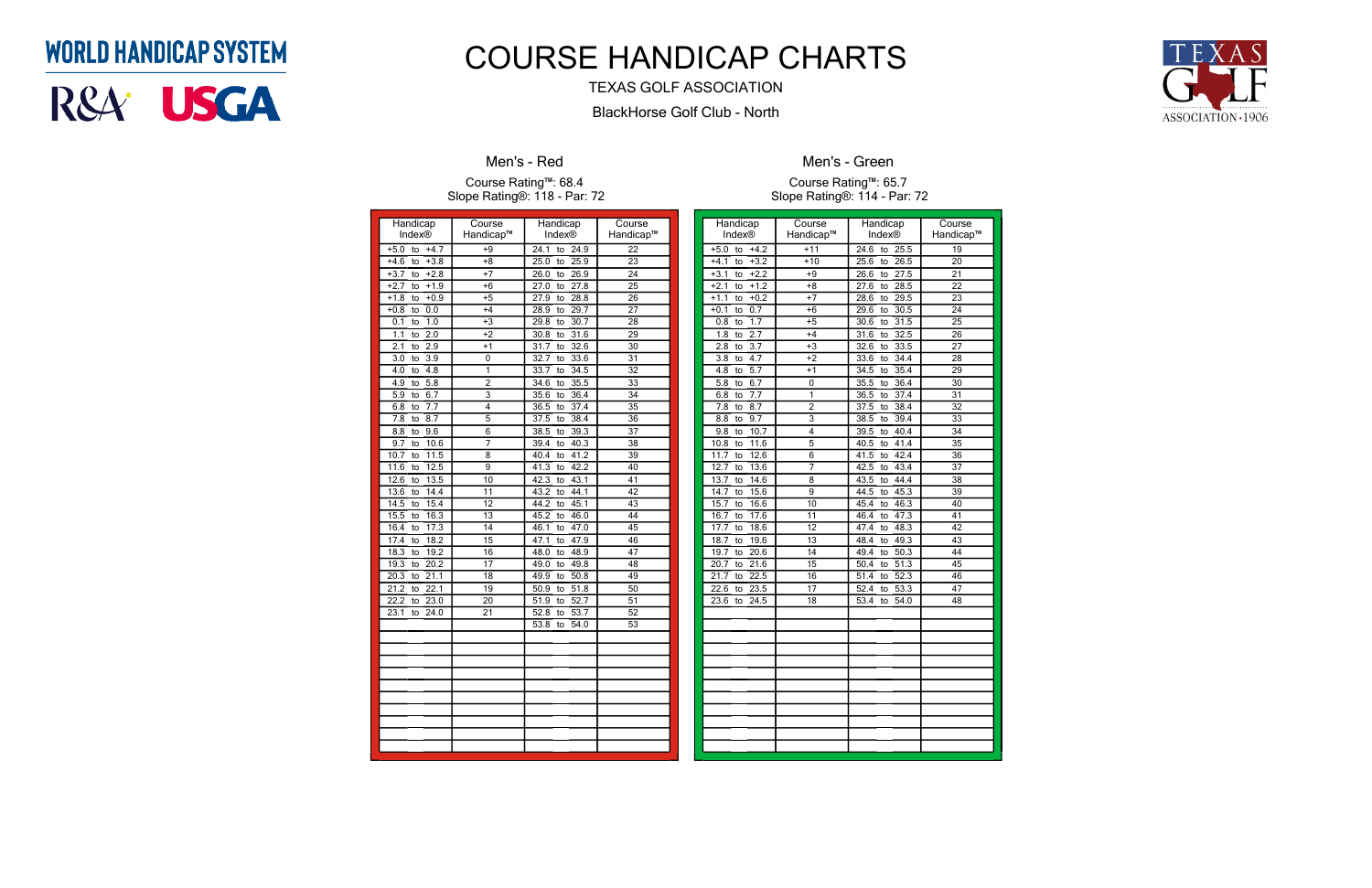### **WORLD HANDICAP SYSTEM**

# R&A<sup>.</sup> USGA

| Handicap                                   | Course          | Handicap                        | Course          |
|--------------------------------------------|-----------------|---------------------------------|-----------------|
| Index®                                     | Handicap™       | Index®                          | Handicap™       |
| $+4.7$<br>$+5.0$<br>to                     | $+9$            | 24.1<br>24.9<br>to              | 22              |
| $+4.6$<br>$+3.8$<br>to                     | $+8$            | 25.9<br>25.0<br>to              | 23              |
| $+2.8$<br>$+3.7$<br>to                     | $+7$            | 26.9<br>26.0<br>to              | $\overline{24}$ |
| $+2.7$<br>$+1.9$<br>to                     | $+6$            | 27.8<br>$\frac{27.0}{ }$<br>to  | $\overline{25}$ |
| $+0.9$<br>$+1.8$<br>to                     | $+5$            | 28.8<br>27.9<br>to              | 26              |
| 0.0<br>$+0.8$<br>to                        | $+4$            | 28.9<br>29.7<br>to              | $\overline{27}$ |
| 1.0<br>0.1<br>to                           | $+3$            | 30.7<br>29.8<br>to              | $\overline{28}$ |
| $\overline{1}.1$<br>$\overline{2.0}$<br>to | $+2$            | 31.6<br>30.8<br>to              | 29              |
| 2.9<br>2.1<br>to                           | $+1$            | 32.6<br>31.7<br>to              | $\overline{30}$ |
| $\overline{3.0}$<br>3.9<br>to              | 0               | 32.7<br>33.6<br>to              | $\overline{31}$ |
| $\overline{4.0}$<br>4.8<br>to              | 1               | 33.7<br>34.5<br>to              | 32              |
| 4.9<br>5.8<br>to                           | $\overline{c}$  | 34.6<br>35.5<br>to              | 33              |
| 6.7<br>5.9<br>to                           | 3               | 36.4<br>35.6<br>to              | 34              |
| 6.8<br>$\overline{7.7}$<br>to              | 4               | 37.4<br>36.5<br>to              | 35              |
| $\overline{7.8}$<br>8.7<br>to              | $\overline{5}$  | 38.4<br>37.5<br>to              | $\overline{36}$ |
| 9.6<br>8.8<br>to                           | 6               | 39.3<br>38.5<br>to              | 37              |
| 10.6<br>9.7<br>to                          | 7               | 40.3<br>39.4<br>to              | 38              |
| 10.7<br>11.5<br>to                         | 8               | 41.2<br>40.4<br>to              | 39              |
| 12.5<br>11.6<br>to                         | 9               | 42.2<br>41.3<br>to              | 40              |
| 12.6<br>13.5<br>to                         | 10              | 42.3<br>43.1<br>to              | 41              |
| 13.6<br>14.4<br>to                         | 11              | 43.2<br>44.1<br>to              | 42              |
| 15.4<br>14.5<br>to                         | $\overline{12}$ | 44.2<br>45.1<br>to              | 43              |
| 15.5<br>16.3<br>to                         | $\overline{13}$ | 45.2<br>46.0<br>to              | 44              |
| 16.4<br>17.3<br>to                         | $\overline{14}$ | 47.0<br>46.1<br>to              | 45              |
| 18.2<br>17.4<br>to                         | $\overline{15}$ | 47.9<br>47.1<br>to              | 46              |
| 19.2<br>18.3<br>to                         | 16              | 48.9<br>48.0<br>to              | 47              |
| 19.3<br>20.2<br>to                         | 17              | 49.0<br>49.8<br>to              | 48              |
| 20.3<br>$\overline{21.1}$<br>to            | $\overline{18}$ | 50.8<br>49.9<br>to              | 49              |
| 22.1<br>21.2<br>to                         | $\overline{19}$ | 51.8<br>50.9<br>to              | 50              |
| 22.2<br>23.0<br>to                         | $\overline{20}$ | 52.7<br>51.9<br>to              | 51              |
| 23.1<br>24.0<br>to                         | 21              | 53.7<br>52.8<br>to              | 52              |
|                                            |                 | $\overline{54.0}$<br>53.8<br>to | 53              |
|                                            |                 |                                 |                 |
|                                            |                 |                                 |                 |
|                                            |                 |                                 |                 |
|                                            |                 |                                 |                 |
|                                            |                 |                                 |                 |
|                                            |                 |                                 |                 |
|                                            |                 |                                 |                 |
|                                            |                 |                                 |                 |
|                                            |                 |                                 |                 |
|                                            |                 |                                 |                 |

#### Men's - Red

#### Course Rating™: 68.4 Slope Rating®: 118 - Par: 72

| Handicap                      | Course          | Handicap                        | Course          |
|-------------------------------|-----------------|---------------------------------|-----------------|
| <b>Index®</b>                 | Handicap™       | <b>Index®</b>                   | Handicap™       |
| $+4.2$<br>$+5.0$<br>to        | $+11$           | 24.6<br>25.5<br>to              | 19              |
| $+3.2$<br>$+4.1$<br>to        | $+10$           | 25.6<br>26.5<br>to              | 20              |
| $+2.2$<br>$+3.1$<br>to        | $+9$            | 27.5<br>26.6<br>to              | 21              |
| $+2.1$<br>$+1.2$<br>to        | $+8$            | 28.5<br>27.6<br>to              | $\overline{22}$ |
| $+1.1$<br>$+0.2$<br>to        | $+7$            | 28.6<br>29.5<br>to              | 23              |
| 0.7<br>$+0.1$<br>to           | $+6$            | 30.5<br>29.6<br>to              | 24              |
| 1.7<br>0.8<br>to              | $+5$            | 31.5<br>30.6<br>to              | 25              |
| 2.7<br>1.8<br>to              | $+4$            | 31.6<br>32.5<br>to              | 26              |
| $\overline{3.7}$<br>2.8<br>to | $+3$            | 33.5<br>32.6<br>to              | 27              |
| 4.7<br>3.8<br>to              | $+2$            | 33.6<br>34.4<br>to              | $\overline{28}$ |
| $\overline{5.7}$<br>4.8<br>to | $+1$            | 35.4<br>34.5<br>to              | $\overline{29}$ |
| 5.8<br>6.7<br>to              | 0               | 35.5<br>36.4<br>to              | $\overline{30}$ |
| 7.7<br>6.8<br>to              | 1               | 36.5<br>37.4<br>to              | 31              |
| 8.7<br>7.8<br>to              | $\overline{2}$  | $\overline{37.5}$<br>38.4<br>to | $\overline{32}$ |
| 9.7<br>8.8<br>to              | 3               | 39.4<br>38.5<br>to              | $\overline{33}$ |
| 10.7<br>9.8<br>to             | 4               | 40.4<br>39.5<br>to              | 34              |
| 10.8<br>11.6<br>to            | 5               | 41.4<br>40.5<br>to              | 35              |
| 11.7<br>12.6<br>to            | 6               | 42.4<br>41.5<br>to              | 36              |
| 12.7<br>13.6<br>to            | 7               | 43.4<br>42.5<br>to              | 37              |
| 14.6<br>13.7<br>to            | 8               | 43.5<br>44.4<br>to              | $\overline{38}$ |
| 14.7<br>15.6<br>to            | 9               | 45.3<br>44.5<br>to              | 39              |
| 15.7<br>16.6<br>to            | 10              | 46.3<br>45.4<br>to              | 40              |
| 17.6<br>16.7<br>to            | $\overline{11}$ | 47.3<br>46.4<br>to              | $\overline{41}$ |
| 17.7<br>18.6<br>to            | 12              | 48.3<br>47.4<br>to              | $\overline{42}$ |
| 19.6<br>18.7<br>to            | 13              | 48.4<br>49.3<br>to              | 43              |
| 19.7<br>20.6<br>to            | 14              | 50.3<br>49.4<br>to              | 44              |
| 21.6<br>20.7<br>to            | 15              | 51.3<br>50.4<br>to              | 45              |
| 22.5<br>21.7<br>to            | 16              | 52.3<br>51.4<br>to              | 46              |
| 23.5<br>22.6<br>to            | 17              | 53.3<br>52.4<br>to              | 47              |
| 24.5<br>23.6<br>to            | $\overline{18}$ | 54.0<br>53.4<br>to              | 48              |
|                               |                 |                                 |                 |
|                               |                 |                                 |                 |
|                               |                 |                                 |                 |
|                               |                 |                                 |                 |
|                               |                 |                                 |                 |
|                               |                 |                                 |                 |
|                               |                 |                                 |                 |
|                               |                 |                                 |                 |
|                               |                 |                                 |                 |
|                               |                 |                                 |                 |
|                               |                 |                                 |                 |
|                               |                 |                                 |                 |



Men's - Green

Course Rating™: 65.7 Slope Rating®: 114 - Par: 72

### COURSE HANDICAP CHARTS

#### TEXAS GOLF ASSOCIATION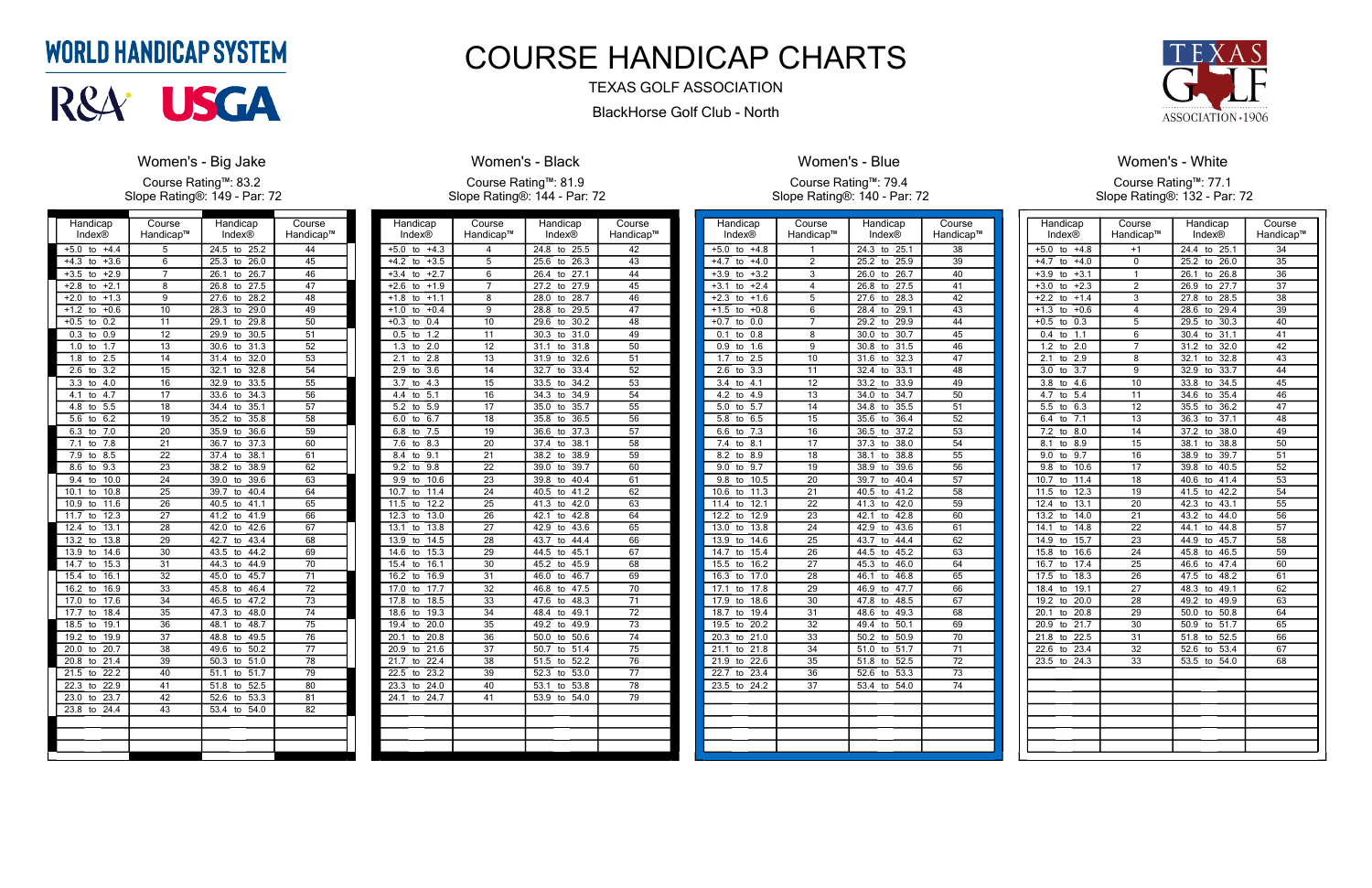| Handicap                         | Course          | Handicap                        | Course          |
|----------------------------------|-----------------|---------------------------------|-----------------|
| Index®                           | Handicap™       | Index®                          | Handicap™       |
| $+5.0$<br>$+4.4$<br>to           | 5               | 24.5<br>25.2<br>to              | 44              |
| $+3.6$<br>$+4.3$<br>to           | 6               | 26.0<br>25.3<br>to              | 45              |
| $+3.5$<br>$+2.9$<br>to           | 7               | 26.7<br>26.1<br>to              | 46              |
| $+2.8$<br>$+2.1$<br>to           | $\overline{8}$  | 26.8<br>27.5<br>to              | 47              |
| $+1.3$<br>$+2.0$<br>to           | 9               | 28.2<br>27.6<br>to              | 48              |
| $+1.2$<br>$+0.6$<br>to           | 10              | 28.3<br>29.0<br>to              | 49              |
| $\overline{0.2}$<br>$+0.5$<br>to | 11              | 29.1<br>29.8<br>to              | $\overline{50}$ |
| 0.3<br>0.9<br>to                 | 12              | 29.9<br>30.5<br>to              | 51              |
| 1.7<br>1.0<br>to                 | $\overline{13}$ | 30.6<br>31.3<br>to              | $\overline{52}$ |
| $\overline{2.5}$<br>1.8<br>to    | 14              | 31.4<br>32.0<br>to              | 53              |
| 3.2<br>2.6<br>to                 | 15              | 32.8<br>32.1<br>to              | 54              |
| 3.3<br>4.0<br>to                 | 16              | 32.9<br>33.5<br>to              | 55              |
| 4.7<br>4.1<br>to                 | 17              | 33.6<br>34.3<br>to              | 56              |
| 4.8<br>5.5<br>to                 | 18              | 35.1<br>34.4<br>to              | 57              |
| 6.2<br>5.6<br>to                 | 19              | 35.2<br>35.8<br>to              | $\overline{58}$ |
| $\overline{7.0}$<br>6.3<br>to    | $\overline{20}$ | 36.6<br>35.9<br>to              | 59              |
| 7.8<br>7.1<br>to                 | $\overline{21}$ | 37.3<br>36.7<br>to              | 60              |
| 8.5<br>$\overline{7.9}$<br>to    | $\overline{22}$ | 37.4<br>38.1<br>to              | 61              |
| 9.3<br>8.6<br>to                 | $\overline{23}$ | 38.2<br>38.9<br>to              | 62              |
| 10.0<br>9.4<br>to                | 24              | 39.0<br>39.6<br>to              | $\overline{63}$ |
| 10.8<br>10.1<br>to               | $\overline{25}$ | 40.4<br>39.7<br>to              | 64              |
| 11.6<br>10.9<br>to               | $\overline{26}$ | 40.5<br>41.1<br>to              | 65              |
| 12.3<br>11.7<br>to               | 27              | 41.2<br>41.9<br>to              | 66              |
| 13.1<br>12.4<br>to               | 28              | 42.6<br>42.0<br>to              | 67              |
| 13.2<br>13.8<br>to               | $\overline{29}$ | 43.4<br>42.7<br>to              | 68              |
| 14.6<br>13.9<br>to               | 30              | 44.2<br>43.5<br>to              | 69              |
| 14.7<br>15.3<br>to               | 31              | 44.3<br>44.9<br>to              | 70              |
| 16.1<br>15.4<br>to               | $\overline{32}$ | 45.0<br>45.7<br>to              | $\overline{71}$ |
| 16.9<br>16.2<br>to               | $\overline{33}$ | 46.4<br>45.8<br>to              | $\overline{72}$ |
| 17.0<br>17.6<br>to               | 34              | 46.5<br>47.2<br>to              | $\overline{73}$ |
| 17.7<br>18.4<br>to               | 35              | 47.3<br>48.0<br>to              | $\overline{74}$ |
| 18.5<br>19.1<br>to               | $\overline{36}$ | 48.7<br>48.1<br>to              | $\overline{75}$ |
| 19.2<br>19.9<br>to               | 37              | 48.8<br>49.5<br>to              | $\overline{76}$ |
| 20.0<br>20.7<br>to               | $\overline{38}$ | 50.2<br>49.6<br>to              | $\overline{77}$ |
| 21.4<br>20.8<br>to               | 39              | 51.0<br>50.3<br>to              | $\overline{78}$ |
| 22.2<br>21.5<br>to               | 40              | $\frac{1}{51.7}$<br>51.1<br>to  | $\overline{79}$ |
| $\overline{22.3}$<br>22.9<br>to  | 41              | $\overline{51.8}$<br>52.5<br>to | 80              |
| 23.7<br>23.0<br>to               | 42              | 53.3<br>52.6<br>to              | 81              |
| $\frac{24.4}{6}$<br>23.8<br>to   | 43              | 53.4<br>54.0<br>to              | 82              |
|                                  |                 |                                 |                 |
|                                  |                 |                                 |                 |
|                                  |                 |                                 |                 |
|                                  |                 |                                 |                 |

### **WORLD HANDICAP SYSTEM**



#### Women's - Big Jake

Course Rating™: 83.2 Slope Rating®: 149 - Par: 72

| Handicap                                     | Course          | Handicap                        | Course          |
|----------------------------------------------|-----------------|---------------------------------|-----------------|
| <b>Index®</b>                                | Handicap™       | Index®                          | Handicap™       |
| $+5.0$<br>$+4.3$<br>to                       | 4               | 24.8<br>25.5<br>to              | 42              |
| $+4.2$<br>$+3.5$<br>to                       | 5               | 25.6<br>26.3<br>to              | 43              |
| $+2.7$<br>$+3.4$<br>to                       | $\overline{6}$  | 26.4<br>$\overline{27.1}$<br>to | 44              |
| $+2.6$<br>$+1.9$<br>to                       | 7               | 27.2<br>27.9<br>to              | 45              |
| $+1.8$<br>$-1.1$<br>to                       | 8               | 28.7<br>28.0<br>to              | 46              |
| $+1.0$<br>$+0.4$<br>to                       | 9               | 28.8<br>29.5<br>to              | 47              |
| $+0.3$<br>0.4<br>to                          | 10              | 29.6<br>30.2<br>to              | 48              |
| 0.5<br>1.2<br>to                             | $\overline{11}$ | 30.3<br>to<br>31.0              | 49              |
| 1.3<br>$\overline{2.0}$<br>to                | $\overline{12}$ | 31.8<br>31.1<br>to              | 50              |
| 2.1<br>2.8<br>to                             | $\overline{13}$ | 32.6<br>31.9<br>to              | 51              |
| 2.9<br>3.6<br>to                             | 14              | 32.7<br>33.4<br>to              | 52              |
| 3.7<br>4.3<br>to                             | 15              | 34.2<br>33.5<br>to              | 53              |
| 4.4<br>5.1<br>to                             | $\overline{16}$ | 34.3<br>34.9<br>to              | $\overline{54}$ |
| $\overline{5.2}$<br>$\overline{5.9}$<br>to   | $\overline{17}$ | 35.0<br>35.7<br>to              | $\overline{55}$ |
| 6.7<br>6.0<br>to                             | $\overline{18}$ | 36.5<br>35.8<br>to              | $\overline{56}$ |
| 7.5<br>6.8<br>to                             | 19              | 36.6<br>37.3<br>to              | $\overline{57}$ |
| 8.3<br>7.6<br>to                             | $\overline{20}$ | 38.1<br>37.4<br>to              | $\overline{58}$ |
| 8.4<br>9.1<br>to                             | 21              | 38.2<br>38.9<br>to              | 59              |
| 9.2<br>9.8<br>to                             | 22              | 39.0<br>39.7<br>to              | 60              |
| 9.9<br>10.6<br>to                            | 23              | 39.8<br>40.4<br>to              | 61              |
| 10.7<br>11.4<br>to                           | $\overline{24}$ | 41.2<br>40.5<br>to              | 62              |
| 11.5<br>12.2<br>to                           | 25              | 41.3<br>42.0<br>to              | 63              |
| 12.3<br>13.0<br>to                           | $\overline{26}$ | 42.1<br>42.8<br>to              | 64              |
| 13.1<br>13.8<br>to                           | $\overline{27}$ | 42.9<br>43.6<br>to              | 65              |
| 13.9<br>14.5<br>to                           | 28              | 43.7<br>44.4<br>to              | 66              |
| 14.6<br>15.3<br>to                           | 29              | 44.5<br>45.1<br>to              | 67              |
| 15.4<br>16.1<br>to                           | $\overline{30}$ | 45.2<br>45.9<br>to              | 68              |
| 16.2<br>16.9<br>to                           | $\overline{31}$ | 46.0<br>46.7<br>to              | 69              |
| 17.7<br>17.0<br>to                           | $\overline{32}$ | 46.8<br>47.5<br>to              | $\overline{70}$ |
| 17.8<br>18.5<br>to                           | $\overline{33}$ | 47.6<br>48.3<br>to              | $\overline{71}$ |
| 18.6<br>19.3<br>to                           | 34              | 48.4<br>49.1<br>to              | $\overline{72}$ |
| 19.4<br>20.0<br>to                           | $\overline{35}$ | 49.2<br>49.9<br>to              | $\overline{73}$ |
| 20.1<br>20.8<br>to                           | 36              | $\overline{50.0}$<br>50.6<br>to | $\overline{74}$ |
| 20.9<br>21.6<br>to                           | 37              | 50.7<br>51.4<br>to              | $\overline{75}$ |
| 21.7<br>22.4<br>to                           | $\overline{38}$ | 52.2<br>51.5<br>to              | $\overline{76}$ |
| $\overline{22.5}$<br>23.2<br>to              | 39              | 52.3<br>53.0<br>to              | $\overline{77}$ |
| 23.3<br>24.0<br>to                           | 40              | 53.1<br>53.8<br>to              | 78              |
| $\overline{24}.1$<br>$\overline{24.7}$<br>to | 41              | 53.9<br>54.0<br>to              | 79              |
|                                              |                 |                                 |                 |
|                                              |                 |                                 |                 |
|                                              |                 |                                 |                 |
|                                              |                 |                                 |                 |

#### Women's - Black

Course Rating™: 81.9 Slope Rating®: 144 - Par: 72

| Handicap                      | Course          | Handicap           | Course          |
|-------------------------------|-----------------|--------------------|-----------------|
| Index®                        | Handicap™       | Index®             | Handicap™       |
| $+4.8$<br>$+5.0$<br>to        | 1               | 24.3<br>25.1<br>to | 38              |
| $+4.7$<br>$+4.0$<br>to        | $\overline{2}$  | 25.2<br>25.9<br>to | 39              |
| $+3.2$<br>$+3.9$<br>to        | $\overline{3}$  | 26.0<br>26.7<br>to | 40              |
| $+3.1$<br>$+2.4$<br>to        | 4               | 26.8<br>27.5<br>to | 41              |
| $+2.3$<br>$+1.6$<br>to        | $\overline{5}$  | 27.6<br>28.3<br>to | 42              |
| $+0.8$<br>$+1.5$<br>to        | 6               | 29.1<br>28.4<br>to | 43              |
| 0.0<br>$+0.7$<br>to           | 7               | 29.9<br>29.2<br>to | 44              |
| 0.1<br>0.8<br>to              | 8               | 30.0<br>30.7<br>to | 45              |
| 1.6<br>0.9<br>to              | 9               | 31.5<br>30.8<br>to | 46              |
| 1.7<br>2.5<br>to              | 10              | 32.3<br>31.6<br>to | 47              |
| $\overline{3.3}$<br>2.6<br>to | 11              | 33.1<br>32.4<br>to | 48              |
| 4.1<br>3.4<br>to              | 12              | 33.2<br>33.9<br>to | 49              |
| 4.2<br>4.9<br>to              | 13              | 34.7<br>34.0<br>to | 50              |
| 5.7<br>5.0<br>to              | 14              | 34.8<br>35.5<br>to | 51              |
| 6.5<br>5.8<br>to              | $\overline{15}$ | 36.4<br>35.6<br>to | 52              |
| $\overline{7.3}$<br>6.6<br>to | 16              | 36.5<br>37.2<br>to | 53              |
| 7.4<br>8.1<br>to              | 17              | 37.3<br>38.0<br>to | 54              |
| 8.2<br>8.9<br>to              | 18              | 38.1<br>38.8<br>to | $\overline{55}$ |
| 9.7<br>9.0<br>to              | 19              | 38.9<br>39.6<br>to | 56              |
| 9.8<br>10.5<br>to             | 20              | 40.4<br>39.7<br>to | 57              |
| 11.3<br>10.6<br>to            | 21              | 41.2<br>40.5<br>to | 58              |
| 12.1<br>11.4<br>to            | 22              | 42.0<br>41.3<br>to | 59              |
| 12.2<br>12.9<br>to            | 23              | 42.1<br>42.8<br>to | 60              |
| 13.0<br>13.8<br>to            | 24              | 42.9<br>43.6<br>to | 61              |
| 13.9<br>14.6<br>to            | 25              | 44.4<br>43.7<br>to | 62              |
| 14.7<br>15.4<br>to            | 26              | 44.5<br>45.2<br>to | 63              |
| 15.5<br>16.2<br>to            | 27              | 46.0<br>45.3<br>to | 64              |
| 16.3<br>17.0<br>to            | 28              | 46.8<br>46.1<br>to | 65              |
| 17.8<br>17.1<br>to            | 29              | 46.9<br>47.7<br>to | 66              |
| 17.9<br>18.6<br>to            | 30              | 48.5<br>47.8<br>to | 67              |
| 19.4<br>18.7<br>to            | 31              | 49.3<br>48.6<br>to | 68              |
| 19.5<br>20.2<br>to            | 32              | 49.4<br>50.1<br>to | 69              |
| 20.3<br>21.0<br>to            | 33              | 50.2<br>50.9<br>to | 70              |
| 21.1<br>21.8<br>to            | 34              | 51.7<br>51.0<br>to | 71              |
| 21.9<br>22.6<br>to            | $\overline{35}$ | 51.8<br>52.5<br>to | 72              |
| 22.7<br>23.4<br>to            | 36              | 53.3<br>52.6<br>to | 73              |
| 23.5<br>24.2<br>to            | 37              | 53.4<br>54.0<br>to | 74              |
|                               |                 |                    |                 |
|                               |                 |                    |                 |
|                               |                 |                    |                 |
|                               |                 |                    |                 |
|                               |                 |                    |                 |
|                               |                 |                    |                 |

Women's - Blue



Course Rating™: 79.4 Slope Rating®: 140 - Par: 72

| Handicap<br>Index®                   | Course<br>Handicap™ | Handicap<br>Index®               | Course<br>Handicap™ |
|--------------------------------------|---------------------|----------------------------------|---------------------|
| $+4.8$<br>$+5.0$<br>to               | $+1$                | 24.4<br>to<br>25.1               | 34                  |
| $+4.7$<br>$+4.0$<br>to               | 0                   | 25.2<br>26.0<br>to               | $\overline{35}$     |
| $+3.9$<br>$+3.1$<br>to               | 1                   | 26.1<br>26.8<br>to               | 36                  |
| $+2.3$<br>$+3.0$<br>to               | $\overline{2}$      | 26.9<br>27.7<br>to               | 37                  |
| $+2.2$<br>$+1.4$<br>to               | $\overline{3}$      | 27.8<br>28.5<br>to               | $\overline{38}$     |
| $+1.3$<br>$+0.6$<br>to               | $\overline{4}$      | 29.4<br>28.6<br>to               | 39                  |
| $+0.5$<br>0.3<br>to                  | 5                   | 29.5<br>30.3<br>to               | 40                  |
| 1.1<br>0.4<br>to                     | 6                   | 30.4<br>31.1<br>to               | 41                  |
| 1.2<br>2.0<br>to                     | 7                   | 32.0<br>31.2<br>to               | 42                  |
| 2.1<br>2.9<br>to                     | 8                   | 32.1<br>32.8                     | $\overline{43}$     |
| 3.0<br>3.7                           | 9                   | to<br>32.9<br>33.7               | 44                  |
| to                                   |                     | to                               |                     |
| 3.8<br>4.6<br>to                     | 10<br>11            | 33.8<br>34.5<br>to<br>35.4       | 45                  |
| 4.7<br>5.4<br>to<br>5.5<br>6.3<br>to | 12                  | 34.6<br>to<br>35.5<br>36.2<br>to | 46<br>47            |
| 7.1                                  | $\overline{13}$     | 36.3<br>37.1                     | $\overline{48}$     |
| 6.4<br>to                            |                     | to                               |                     |
| 7.2<br>8.0<br>to                     | 14                  | 37.2<br>38.0<br>to               | 49                  |
| 8.1<br>8.9<br>to                     | $\overline{15}$     | 38.8<br>38.1<br>to               | 50                  |
| $\overline{9.0}$<br>9.7<br>to        | 16                  | 38.9<br>39.7<br>to               | 51                  |
| 9.8<br>10.6<br>to                    | 17                  | 40.5<br>39.8<br>to               | 52                  |
| 10.7<br>11.4<br>to                   | 18                  | 41.4<br>40.6<br>to               | 53                  |
| 12.3<br>11.5<br>to                   | 19                  | 42.2<br>41.5<br>to               | 54                  |
| 12.4<br>13.1<br>to                   | 20                  | 42.3<br>43.1<br>to               | 55                  |
| 13.2<br>14.0<br>to                   | 21                  | 43.2<br>44.0<br>to               | 56                  |
| 14.8<br>14.1<br>to                   | $\overline{22}$     | 44.8<br>44.1<br>to               | $\overline{57}$     |
| 14.9<br>15.7<br>to                   | $\overline{23}$     | 45.7<br>44.9<br>to               | $\overline{58}$     |
| 15.8<br>16.6<br>to                   | 24                  | 46.5<br>45.8<br>to               | $\overline{59}$     |
| 17.4<br>16.7<br>to                   | $\overline{25}$     | 46.6<br>47.4<br>to               | 60                  |
| 17.5<br>18.3<br>to                   | 26                  | 47.5<br>48.2<br>to               | 61                  |
| 18.4<br>19.1<br>to                   | 27                  | 48.3<br>49.1<br>to               | 62                  |
| 19.2<br>20.0<br>to                   | 28                  | 49.2<br>49.9<br>to               | 63                  |
| 20.1<br>20.8<br>to                   | 29                  | 50.0<br>50.8<br>to               | 64                  |
| 20.9<br>21.7<br>to                   | 30                  | 50.9<br>51.7<br>to               | 65                  |
| 21.8<br>22.5<br>to                   | $\overline{31}$     | 52.5<br>51.8<br>to               | 66                  |
| 22.6<br>23.4<br>to                   | 32                  | 52.6<br>53.4<br>to               | 67                  |
| 23.5<br>24.3<br>to                   | $\overline{33}$     | 53.5<br>54.0<br>to               | $\overline{68}$     |
|                                      |                     |                                  |                     |
|                                      |                     |                                  |                     |
|                                      |                     |                                  |                     |
|                                      |                     |                                  |                     |
|                                      |                     |                                  |                     |
|                                      |                     |                                  |                     |
|                                      |                     |                                  |                     |

#### Women's - White Course Rating™: 77.1 Slope Rating®: 132 - Par: 72

## COURSE HANDICAP CHARTS

### TEXAS GOLF ASSOCIATION